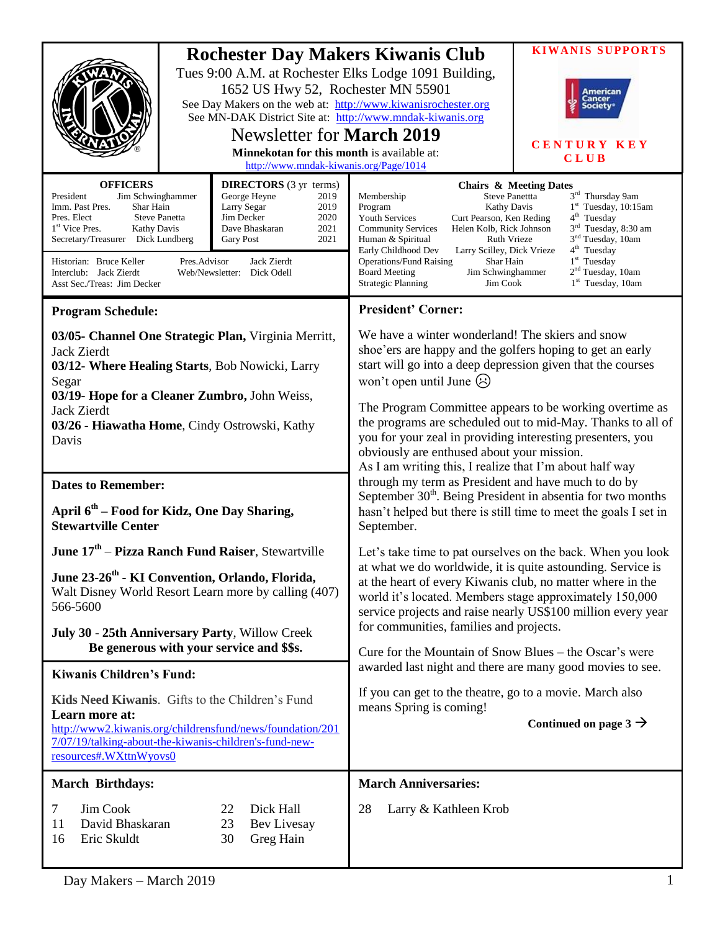|                                                                                                                                                                                                                                                                                                                                                                                                                                                                                                                                       | <b>Rochester Day Makers Kiwanis Club</b><br>Tues 9:00 A.M. at Rochester Elks Lodge 1091 Building,<br>1652 US Hwy 52, Rochester MN 55901<br>American<br>:ancer<br>See Day Makers on the web at: http://www.kiwanisrochester.org<br>ociety<br>See MN-DAK District Site at: http://www.mndak-kiwanis.org<br><b>Newsletter for March 2019</b><br>Minnekotan for this month is available at:<br><b>CLUB</b><br>http://www.mndak-kiwanis.org/Page/1014 |                                                                                                                                                                                                                                                                                                                                                                                                                                                     | <b>KIWANIS SUPPORTS</b><br><b>CENTURY KEY</b>                                                                                                                                                                                                                                       |
|---------------------------------------------------------------------------------------------------------------------------------------------------------------------------------------------------------------------------------------------------------------------------------------------------------------------------------------------------------------------------------------------------------------------------------------------------------------------------------------------------------------------------------------|--------------------------------------------------------------------------------------------------------------------------------------------------------------------------------------------------------------------------------------------------------------------------------------------------------------------------------------------------------------------------------------------------------------------------------------------------|-----------------------------------------------------------------------------------------------------------------------------------------------------------------------------------------------------------------------------------------------------------------------------------------------------------------------------------------------------------------------------------------------------------------------------------------------------|-------------------------------------------------------------------------------------------------------------------------------------------------------------------------------------------------------------------------------------------------------------------------------------|
| <b>OFFICERS</b><br><b>DIRECTORS</b> (3 yr terms)<br>George Heyne<br>President<br>Jim Schwinghammer<br>2019<br>Imm. Past Pres.<br>Shar Hain<br>Larry Segar<br>2019<br>Pres. Elect<br><b>Steve Panetta</b><br>Jim Decker<br>2020<br>1 <sup>st</sup> Vice Pres.<br><b>Kathy Davis</b><br>Dave Bhaskaran<br>2021<br>Secretary/Treasurer Dick Lundberg<br>2021<br><b>Gary Post</b><br><b>Jack Zierdt</b><br>Historian: Bruce Keller<br>Pres.Advisor<br>Interclub: Jack Zierdt<br>Web/Newsletter: Dick Odell<br>Asst Sec./Treas: Jim Decker |                                                                                                                                                                                                                                                                                                                                                                                                                                                  | <b>Steve Panettta</b><br>Membership<br>Program<br><b>Kathy Davis</b><br><b>Youth Services</b><br>Curt Pearson, Ken Reding<br>Helen Kolb, Rick Johnson<br><b>Community Services</b><br>Human & Spiritual<br><b>Ruth Vrieze</b><br>Early Childhood Dev<br>Larry Scilley, Dick Vrieze<br><b>Operations/Fund Raising</b><br>Shar Hain<br><b>Board Meeting</b><br>Jim Schwinghammer<br>Jim Cook<br><b>Strategic Planning</b>                             | <b>Chairs &amp; Meeting Dates</b><br>3rd Thursday 9am<br>$1st$ Tuesday, 10:15am<br>4 <sup>th</sup> Tuesday<br>3 <sup>rd</sup> Tuesday, 8:30 am<br>3 <sup>nd</sup> Tuesday, 10am<br>4 <sup>th</sup> Tuesday<br>$1st$ Tuesday<br>2 <sup>nd</sup> Tuesday, 10am<br>$1st$ Tuesday, 10am |
| <b>Program Schedule:</b>                                                                                                                                                                                                                                                                                                                                                                                                                                                                                                              |                                                                                                                                                                                                                                                                                                                                                                                                                                                  | <b>President' Corner:</b>                                                                                                                                                                                                                                                                                                                                                                                                                           |                                                                                                                                                                                                                                                                                     |
| 03/05- Channel One Strategic Plan, Virginia Merritt,<br>Jack Zierdt<br>03/12- Where Healing Starts, Bob Nowicki, Larry<br>Segar<br>03/19- Hope for a Cleaner Zumbro, John Weiss,<br>Jack Zierdt<br>03/26 - Hiawatha Home, Cindy Ostrowski, Kathy<br>Davis                                                                                                                                                                                                                                                                             |                                                                                                                                                                                                                                                                                                                                                                                                                                                  | We have a winter wonderland! The skiers and snow<br>shoe'ers are happy and the golfers hoping to get an early<br>start will go into a deep depression given that the courses<br>won't open until June $\odot$<br>The Program Committee appears to be working overtime as<br>the programs are scheduled out to mid-May. Thanks to all of<br>you for your zeal in providing interesting presenters, you<br>obviously are enthused about your mission. |                                                                                                                                                                                                                                                                                     |
| <b>Dates to Remember:</b>                                                                                                                                                                                                                                                                                                                                                                                                                                                                                                             |                                                                                                                                                                                                                                                                                                                                                                                                                                                  | As I am writing this, I realize that I'm about half way<br>through my term as President and have much to do by                                                                                                                                                                                                                                                                                                                                      |                                                                                                                                                                                                                                                                                     |
| April 6 <sup>th</sup> – Food for Kidz, One Day Sharing,<br><b>Stewartville Center</b>                                                                                                                                                                                                                                                                                                                                                                                                                                                 |                                                                                                                                                                                                                                                                                                                                                                                                                                                  | September 30 <sup>th</sup> . Being President in absentia for two months<br>hasn't helped but there is still time to meet the goals I set in<br>September.                                                                                                                                                                                                                                                                                           |                                                                                                                                                                                                                                                                                     |
| June 17 <sup>th</sup> – Pizza Ranch Fund Raiser, Stewartville                                                                                                                                                                                                                                                                                                                                                                                                                                                                         |                                                                                                                                                                                                                                                                                                                                                                                                                                                  | Let's take time to pat ourselves on the back. When you look                                                                                                                                                                                                                                                                                                                                                                                         |                                                                                                                                                                                                                                                                                     |
| June 23-26 <sup>th</sup> - KI Convention, Orlando, Florida,<br>Walt Disney World Resort Learn more by calling (407)<br>566-5600                                                                                                                                                                                                                                                                                                                                                                                                       |                                                                                                                                                                                                                                                                                                                                                                                                                                                  | at what we do worldwide, it is quite astounding. Service is<br>at the heart of every Kiwanis club, no matter where in the<br>world it's located. Members stage approximately 150,000<br>service projects and raise nearly US\$100 million every year                                                                                                                                                                                                |                                                                                                                                                                                                                                                                                     |
| July 30 - 25th Anniversary Party, Willow Creek<br>Be generous with your service and \$\$s.                                                                                                                                                                                                                                                                                                                                                                                                                                            |                                                                                                                                                                                                                                                                                                                                                                                                                                                  | for communities, families and projects.                                                                                                                                                                                                                                                                                                                                                                                                             |                                                                                                                                                                                                                                                                                     |
| <b>Kiwanis Children's Fund:</b>                                                                                                                                                                                                                                                                                                                                                                                                                                                                                                       |                                                                                                                                                                                                                                                                                                                                                                                                                                                  | Cure for the Mountain of Snow Blues – the Oscar's were<br>awarded last night and there are many good movies to see.                                                                                                                                                                                                                                                                                                                                 |                                                                                                                                                                                                                                                                                     |
| Kids Need Kiwanis. Gifts to the Children's Fund<br>Learn more at:<br>http://www2.kiwanis.org/childrensfund/news/foundation/201<br>7/07/19/talking-about-the-kiwanis-children's-fund-new-<br>resources#.WXttnWyovs0                                                                                                                                                                                                                                                                                                                    |                                                                                                                                                                                                                                                                                                                                                                                                                                                  | If you can get to the theatre, go to a movie. March also<br>means Spring is coming!                                                                                                                                                                                                                                                                                                                                                                 | Continued on page $3 \rightarrow$                                                                                                                                                                                                                                                   |
| <b>March Birthdays:</b>                                                                                                                                                                                                                                                                                                                                                                                                                                                                                                               |                                                                                                                                                                                                                                                                                                                                                                                                                                                  | <b>March Anniversaries:</b>                                                                                                                                                                                                                                                                                                                                                                                                                         |                                                                                                                                                                                                                                                                                     |
| Jim Cook<br>7<br>David Bhaskaran<br>11<br>Eric Skuldt<br>16                                                                                                                                                                                                                                                                                                                                                                                                                                                                           | Dick Hall<br>22<br>23<br>Bev Livesay<br>30<br>Greg Hain                                                                                                                                                                                                                                                                                                                                                                                          | 28<br>Larry & Kathleen Krob                                                                                                                                                                                                                                                                                                                                                                                                                         |                                                                                                                                                                                                                                                                                     |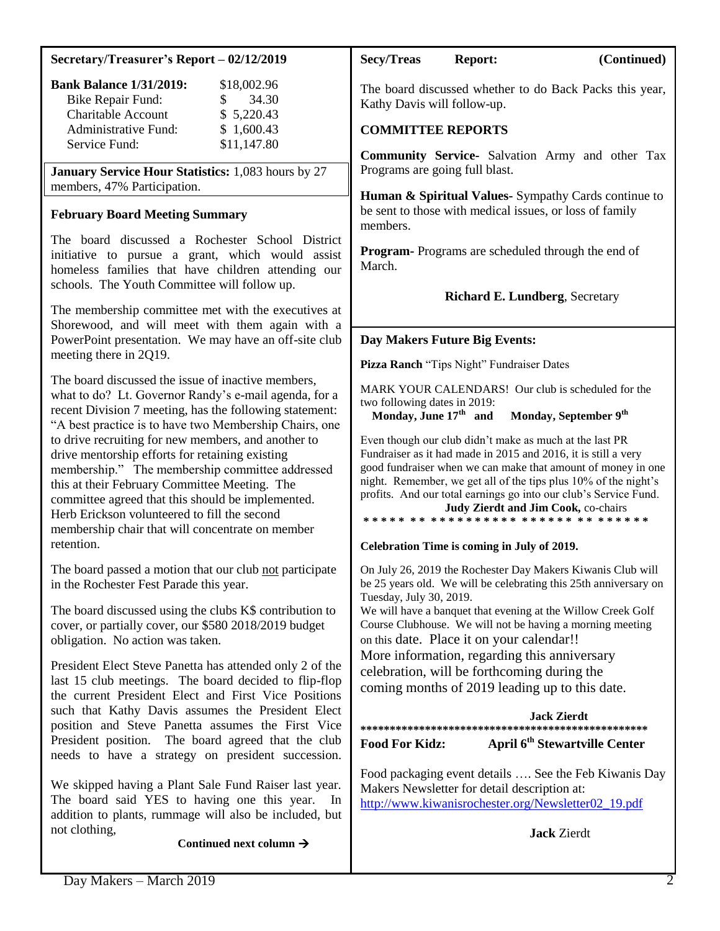# **Secretary/Treasurer's Report – 02/12/2019**

| <b>Bank Balance 1/31/2019:</b> | \$18,002.96  |
|--------------------------------|--------------|
| <b>Bike Repair Fund:</b>       | 34.30<br>SS. |
| Charitable Account             | \$5,220.43   |
| Administrative Fund:           | \$1,600.43   |
| Service Fund:                  | \$11,147.80  |

**January Service Hour Statistics:** 1,083 hours by 27 members, 47% Participation.

## **February Board Meeting Summary**

The board discussed a Rochester School District initiative to pursue a grant, which would assist homeless families that have children attending our schools. The Youth Committee will follow up.

The membership committee met with the executives at Shorewood, and will meet with them again with a PowerPoint presentation. We may have an off-site club meeting there in 2Q19.

The board discussed the issue of inactive members, what to do? Lt. Governor Randy's e-mail agenda, for a recent Division 7 meeting, has the following statement: "A best practice is to have two Membership Chairs, one to drive recruiting for new members, and another to drive mentorship efforts for retaining existing membership." The membership committee addressed this at their February Committee Meeting. The committee agreed that this should be implemented. Herb Erickson volunteered to fill the second membership chair that will concentrate on member retention.

The board passed a motion that our club not participate in the Rochester Fest Parade this year.

The board discussed using the clubs K\$ contribution to cover, or partially cover, our \$580 2018/2019 budget obligation. No action was taken.

President Elect Steve Panetta has attended only 2 of the last 15 club meetings. The board decided to flip-flop the current President Elect and First Vice Positions such that Kathy Davis assumes the President Elect position and Steve Panetta assumes the First Vice President position. The board agreed that the club needs to have a strategy on president succession.

We skipped having a Plant Sale Fund Raiser last year. The board said YES to having one this year. In addition to plants, rummage will also be included, but not clothing,

**Continued next column** 

## **Secy/Treas Report: (Continued)**

The board discussed whether to do Back Packs this year, Kathy Davis will follow-up.

## **COMMITTEE REPORTS**

**Community Service-** Salvation Army and other Tax Programs are going full blast.

**Human & Spiritual Values-** Sympathy Cards continue to be sent to those with medical issues, or loss of family members.

**Program-** Programs are scheduled through the end of March.

 **Richard E. Lundberg**, Secretary

## **Day Makers Future Big Events:**

**Pizza Ranch** "Tips Night" Fundraiser Dates

MARK YOUR CALENDARS! Our club is scheduled for the two following dates in 2019:

**Monday, June 17th and Monday, September 9th**

Even though our club didn't make as much at the last PR Fundraiser as it had made in 2015 and 2016, it is still a very good fundraiser when we can make that amount of money in one night. Remember, we get all of the tips plus 10% of the night's profits. And our total earnings go into our club's Service Fund.

**Judy Zierdt and Jim Cook,** co-chairs **\* \* \* \* \* \* \* \* \* \* \* \* \* \* \* \* \* \* \* \* \* \* \* \* \* \* \* \* \* \* \*** 

#### **Celebration Time is coming in July of 2019.**

On July 26, 2019 the Rochester Day Makers Kiwanis Club will be 25 years old. We will be celebrating this 25th anniversary on Tuesday, July 30, 2019.

We will have a banquet that evening at the Willow Creek Golf Course Clubhouse. We will not be having a morning meeting on this date. Place it on your calendar!!

More information, regarding this anniversary celebration, will be forthcoming during the coming months of 2019 leading up to this date.

|                       | Jack Zierdt                               |  |  |  |
|-----------------------|-------------------------------------------|--|--|--|
|                       |                                           |  |  |  |
| <b>Food For Kidz:</b> | April 6 <sup>th</sup> Stewartville Center |  |  |  |

Food packaging event details …. See the Feb Kiwanis Day Makers Newsletter for detail description at: [http://www.kiwanisrochester.org/Newsletter02\\_19.pdf](http://www.kiwanisrochester.org/Newsletter02_19.pdf)

**Jack** Zierdt